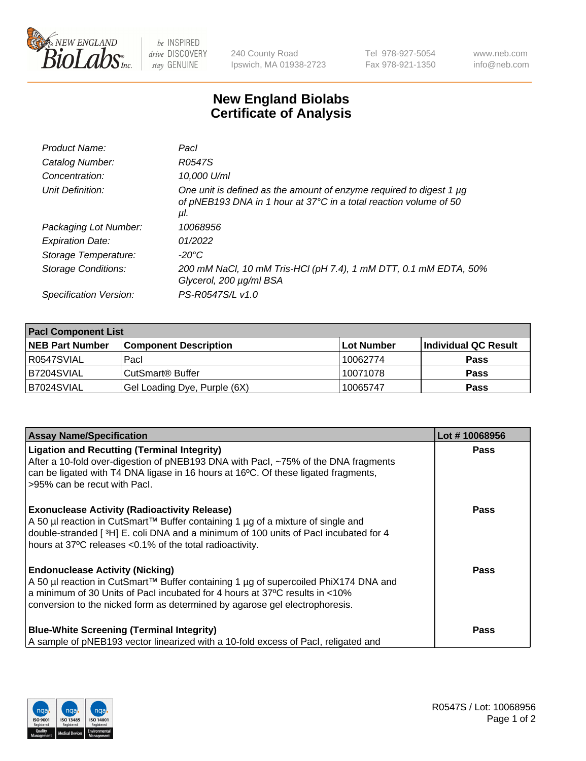

 $be$  INSPIRED drive DISCOVERY stay GENUINE

240 County Road Ipswich, MA 01938-2723 Tel 978-927-5054 Fax 978-921-1350 www.neb.com info@neb.com

## **New England Biolabs Certificate of Analysis**

| Product Name:           | Pacl                                                                                                                                            |
|-------------------------|-------------------------------------------------------------------------------------------------------------------------------------------------|
| Catalog Number:         | R0547S                                                                                                                                          |
| Concentration:          | 10,000 U/ml                                                                                                                                     |
| Unit Definition:        | One unit is defined as the amount of enzyme required to digest 1 µg<br>of pNEB193 DNA in 1 hour at 37°C in a total reaction volume of 50<br>μI. |
| Packaging Lot Number:   | 10068956                                                                                                                                        |
| <b>Expiration Date:</b> | 01/2022                                                                                                                                         |
| Storage Temperature:    | $-20^{\circ}$ C                                                                                                                                 |
| Storage Conditions:     | 200 mM NaCl, 10 mM Tris-HCl (pH 7.4), 1 mM DTT, 0.1 mM EDTA, 50%<br>Glycerol, 200 µg/ml BSA                                                     |
| Specification Version:  | PS-R0547S/L v1.0                                                                                                                                |

| <b>Pacl Component List</b> |                              |             |                      |  |
|----------------------------|------------------------------|-------------|----------------------|--|
| <b>NEB Part Number</b>     | <b>Component Description</b> | ∣Lot Number | Individual QC Result |  |
| R0547SVIAL                 | Pacl                         | 10062774    | <b>Pass</b>          |  |
| IB7204SVIAL                | CutSmart® Buffer             | 10071078    | <b>Pass</b>          |  |
| B7024SVIAL                 | Gel Loading Dye, Purple (6X) | 10065747    | <b>Pass</b>          |  |

| <b>Assay Name/Specification</b>                                                                                                                                                                                                                                                               | Lot #10068956 |
|-----------------------------------------------------------------------------------------------------------------------------------------------------------------------------------------------------------------------------------------------------------------------------------------------|---------------|
| <b>Ligation and Recutting (Terminal Integrity)</b><br>After a 10-fold over-digestion of pNEB193 DNA with Pacl, ~75% of the DNA fragments<br>can be ligated with T4 DNA ligase in 16 hours at 16°C. Of these ligated fragments,<br>>95% can be recut with Pacl.                                | Pass          |
| <b>Exonuclease Activity (Radioactivity Release)</b><br>A 50 µl reaction in CutSmart™ Buffer containing 1 µg of a mixture of single and<br>double-stranded [ $3H$ ] E. coli DNA and a minimum of 100 units of Pacl incubated for 4<br>hours at 37°C releases <0.1% of the total radioactivity. | <b>Pass</b>   |
| <b>Endonuclease Activity (Nicking)</b><br>A 50 µl reaction in CutSmart™ Buffer containing 1 µg of supercoiled PhiX174 DNA and<br>a minimum of 30 Units of Pacl incubated for 4 hours at 37°C results in <10%<br>conversion to the nicked form as determined by agarose gel electrophoresis.   | Pass          |
| <b>Blue-White Screening (Terminal Integrity)</b><br>A sample of pNEB193 vector linearized with a 10-fold excess of Pacl, religated and                                                                                                                                                        | Pass          |